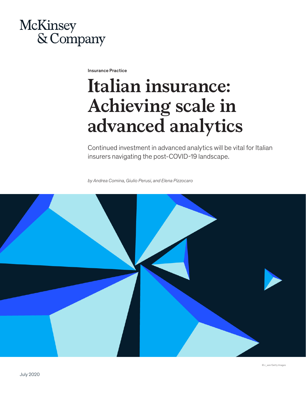# McKinsey & Company

Insurance Practice

# **Italian insurance: Achieving scale in advanced analytics**

Continued investment in advanced analytics will be vital for Italian insurers navigating the post-COVID-19 landscape.

*by Andrea Comina, Giulio Perusi, and Elena Pizzocaro* 

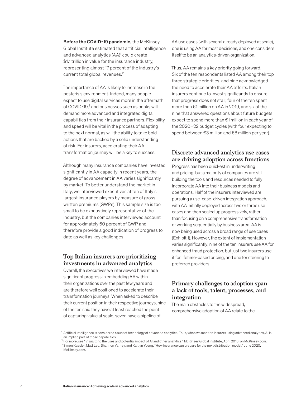Before the COVID-19 pandemic, the McKinsey Global Institute estimated that artificial intelligence and advanced analytics  $(AA)^1$  could create \$1.1 trillion in value for the insurance industry, representing almost 17 percent of the industry's current total global revenues.<sup>2</sup>

The importance of AA is likely to increase in the postcrisis environment. Indeed, many people expect to use digital services more in the aftermath of COVID-19,<sup>3</sup> and businesses such as banks will demand more advanced and integrated digital capabilities from their insurance partners. Flexibility and speed will be vital in the process of adapting to the next normal, as will the ability to take bold actions that are backed by a solid understanding of risk. For insurers, accelerating their AA transformation journey will be a key to success.

Although many insurance companies have invested significantly in AA capacity in recent years, the degree of advancement in AA varies significantly by market. To better understand the market in Italy, we interviewed executives at ten of Italy's largest insurance players by measure of gross written premiums (GWPs). This sample size is too small to be exhaustively representative of the industry, but the companies interviewed account for approximately 60 percent of GWP and therefore provide a good indication of progress to date as well as key challenges.

# **Top Italian insurers are prioritizing investments in advanced analytics**

Overall, the executives we interviewed have made significant progress in embedding AA within their organizations over the past few years and are therefore well positioned to accelerate their transformation journeys. When asked to describe their current position in their respective journeys, nine of the ten said they have at least reached the point of capturing value at scale, seven have a pipeline of

AA use cases (with several already deployed at scale), one is using AA for most decisions, and one considers itself to be an analytics-driven organization.

Thus, AA remains a key priority going forward. Six of the ten respondents listed AA among their top three strategic priorities, and nine acknowledged the need to accelerate their AA efforts. Italian insurers continue to invest significantly to ensure that progress does not stall; four of the ten spent more than €1 million on AA in 2019, and six of the nine that answered questions about future budgets expect to spend more than €1 million in each year of the 2020–22 budget cycles (with four expecting to spend between €3 million and €8 million per year).

# **Discrete advanced analytics use cases are driving adoption across functions**

Progress has been quickest in underwriting and pricing, but a majority of companies are still building the tools and resources needed to fully incorporate AA into their business models and operations. Half of the insurers interviewed are pursuing a use-case-driven integration approach, with AA initially deployed across two or three use cases and then scaled up progressively, rather than focusing on a comprehensive transformation or working sequentially by business area. AA is now being used across a broad range of use cases (Exhibit 1). However, the extent of implementation varies significantly; nine of the ten insurers use AA for enhanced fraud protection, but just two insurers use it for lifetime-based pricing, and one for steering to preferred providers.

# **Primary challenges to adoption span a lack of tools, talent, processes, and integration**

The main obstacles to the widespread, comprehensive adoption of AA relate to the

<sup>&</sup>lt;sup>1</sup> Artificial intelligence is considered a subset technology of advanced analytics. Thus, when we mention insurers using advanced analytics, AI is an implied part of those capabilities.

 $^2$  For more, see "Visualizing the uses and potential impact of AI and other analytics," McKinsey Global Institute, April 2018, on McKinsey.com. <sup>3</sup> Simon Kaesler, Matt Leo, Shannon Varney, and Kaitlyn Young, "How insurance can prepare for the next distribution model," June 2020, McKinsey.com.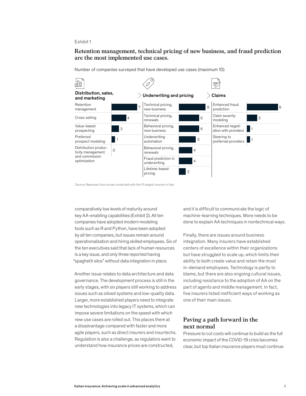#### Exhibit 1

## **Retention management, technical pricing of new business, and fraud prediction**  Retention management, technical pricing of new business, and fraud are the most implemented use cases.

Number of companies surveyed that have developed use cases (maximum 10)



Source: Reponses from survey conducted with the 10 largest insurers in Italy

comparatively low levels of maturity around key AA-enabling capabilities (Exhibit 2). All ten companies have adopted modern modeling tools such as R and Python, have been adopted by all ten companies, but issues remain around operationalization and hiring skilled employees. Six of the ten executives said that lack of human resources is a key issue, and only three reported having "spaghetti silos" without data integration in place.

Another issue relates to data architecture and data governance. The development process is still in the early stages, with six players still working to address issues such as siloed systems and low-quality data. Larger, more established players need to integrate new technologies into legacy IT systems, which can impose severe limitations on the speed with which new use cases are rolled out. This places them at a disadvantage compared with faster and more agile players, such as direct insurers and insurtechs. Regulation is also a challenge, as regulators want to understand how insurance prices are constructed,

and it is difficult to communicate the logic of machine-learning techniques. More needs to be done to explain AA techniques in nontechnical ways.

Finally, there are issues around business integration. Many insurers have established centers of excellence within their organizations but have struggled to scale up, which limits their ability to both create value and retain the most in-demand employees. Technology is partly to blame, but there are also ongoing cultural issues, including resistance to the adoption of AA on the part of agents and middle management. In fact, five insurers listed inefficient ways of working as one of their main issues.

### **Paving a path forward in the next normal**

Pressure to cut costs will continue to build as the full economic impact of the COVID-19 crisis becomes clear, but top Italian insurance players must continue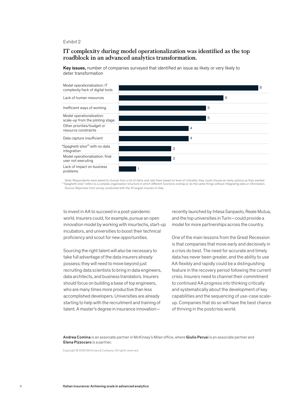#### Exhibit 2

# **IT complexity during model operationalization was identified as the top roadblock in an advanced analytics transformation.** roadblock in an advanced analytics transformation.

Key issues, number of companies surveyed that identified an issue as likely or very likely to deter transformation



Note: Respondents were asked to choose from a list of items and rate them based on level of criticality; they could choose as many options as they wanted.<br>("Spaghetti silos" refers to a complex organization structure in wh Source: Reponses from survey conducted with the 10 largest insurers in Italy

to invest in AA to succeed in a post-pandemic world. Insurers could, for example, pursue an open innovation model by working with insurtechs, start-up incubators, and universities to boost their technical proficiency and scout for new opportunities.

Sourcing the right talent will also be necessary to take full advantage of the data insurers already possess; they will need to move beyond just recruiting data scientists to bring in data engineers, data architects, and business translators. Insurers should focus on building a base of top engineers, who are many times more productive than less accomplished developers. Universities are already starting to help with the recruitment and training of talent. A master's degree in insurance innovationrecently launched by Intesa Sanpaolo, Reale Mutua, and the top universities in Turin—could provide a model for more partnerships across the country.

One of the main lessons from the Great Recession is that companies that move early and decisively in a crisis do best. The need for accurate and timely data has never been greater, and the ability to use AA flexibly and rapidly could be a distinguishing feature in the recovery period following the current crisis. Insurers need to channel their commitment to continued AA progress into thinking critically and systematically about the development of key capabilities and the sequencing of use-case scaleup. Companies that do so will have the best chance of thriving in the postcrisis world.

Andrea Comina is an associate partner in McKinsey's Milan office, where Giulio Perusi is an associate partner and Elena Pizzocaro is a partner.

Copyright © 2020 McKinsey & Company. All rights reserved.